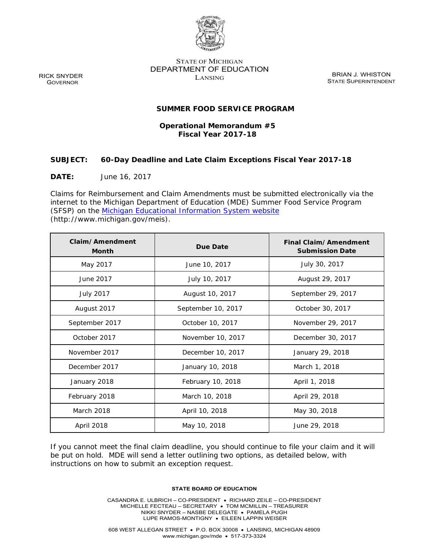

STATE OF MICHIGAN DEPARTMENT OF EDUCATION RICK SNYDER BRIAN DE ELECTRICIAL COMPUTER BRIAN J. WHISTON BRIAN J. WHISTON GOVERNOR STATE SUPERINTENDENT

### **SUMMER FOOD SERVICE PROGRAM**

# **Fiscal Year 2017-18 Operational Memorandum #5**

### **SUBJECT: 60-Day Deadline and Late Claim Exceptions Fiscal Year 2017-18**

**DATE:** June 16, 2017

 Claims for Reimbursement and Claim Amendments must be submitted electronically via the (SFSP) on the Michigan Educational Information System website internet to the Michigan Department of Education (MDE) Summer Food Service Program (http://www.michigan.gov/meis).

| Claim/Amendment<br><b>Month</b> | Due Date           | Final Claim/Amendment<br><b>Submission Date</b> |
|---------------------------------|--------------------|-------------------------------------------------|
| May 2017                        | June 10, 2017      | July 30, 2017                                   |
| June 2017                       | July 10, 2017      | August 29, 2017                                 |
| <b>July 2017</b>                | August 10, 2017    | September 29, 2017                              |
| August 2017                     | September 10, 2017 | October 30, 2017                                |
| September 2017                  | October 10, 2017   | November 29, 2017                               |
| October 2017                    | November 10, 2017  | December 30, 2017                               |
| November 2017                   | December 10, 2017  | January 29, 2018                                |
| December 2017                   | January 10, 2018   | March 1, 2018                                   |
| January 2018                    | February 10, 2018  | April 1, 2018                                   |
| February 2018                   | March 10, 2018     | April 29, 2018                                  |
| March 2018                      | April 10, 2018     | May 30, 2018                                    |
| April 2018                      | May 10, 2018       | June 29, 2018                                   |

 If you cannot meet the final claim deadline, you should continue to file your claim and it will be put on hold. MDE will send a letter outlining two options, as detailed below, with instructions on how to submit an exception request.

#### **STATE BOARD OF EDUCATION**

 LUPE RAMOS-MONTIGNY EILEEN LAPPIN WEISER CASANDRA E. ULBRICH – CO-PRESIDENT RICHARD ZEILE – CO-PRESIDENT MICHELLE FECTEAU – SECRETARY TOM MCMILLIN – TREASURER NIKKI SNYDER – NASBE DELEGATE PAMELA PUGH